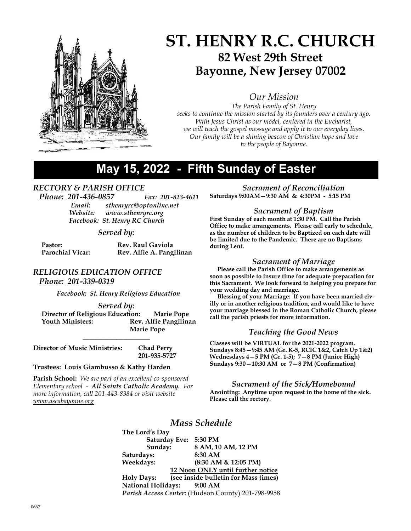

# ST. HENRY R.C. CHURCH 82 West 29th Street Bayonne, New Jersey 07002

Our Mission

The Parish Family of St. Henry seeks to continue the mission started by its founders over a century ago. With Jesus Christ as our model, centered in the Eucharist, we will teach the gospel message and apply it to our everyday lives. Our family will be a shining beacon of Christian hope and love to the people of Bayonne.

# May 15, 2022 - Fifth Sunday of Easter

## RECTORY & PARISH OFFICE

Phone: 201-436-0857 Fax: 201-823-4611 Email: sthenryrc@optonline.net Website: www.sthenryrc.org Facebook: St. Henry RC Church

### Served by:

| Pastor:                 | <b>Rev. Raul Gaviola</b> |
|-------------------------|--------------------------|
| <b>Parochial Vicar:</b> | Rev. Alfie A. Pangilinan |

## RELIGIOUS EDUCATION OFFICE

Phone: 201-339-0319

Facebook: St. Henry Religious Education

### Served by:

 Director of Religious Education: Marie Pope Youth Ministers: Rev. Alfie Pangilinan Marie Pope

\_\_\_\_\_\_\_\_\_\_\_\_\_\_\_\_\_\_\_\_

201-935-5727

Director of Music Ministries: Chad Perry

Trustees: Louis Giambusso & Kathy Harden

**Parish School:** We are part of an excellent co-sponsored Elementary school - All Saints Catholic Academy. For more information, call 201-443-8384 or visit website www.ascabayonne.org

Sacrament of Reconciliation Saturdays 9:00AM—9:30 AM & 4:30PM - 5:15 PM

### Sacrament of Baptism

First Sunday of each month at 1:30 PM. Call the Parish Office to make arrangements. Please call early to schedule, as the number of children to be Baptized on each date will be limited due to the Pandemic. There are no Baptisms during Lent.

### Sacrament of Marriage

 Please call the Parish Office to make arrangements as soon as possible to insure time for adequate preparation for this Sacrament. We look forward to helping you prepare for your wedding day and marriage.

 Blessing of your Marriage: If you have been married civilly or in another religious tradition, and would like to have your marriage blessed in the Roman Catholic Church, please call the parish priests for more information.

### Teaching the Good News

Classes will be VIRTUAL for the 2021-2022 program. Sundays 8:45—9:45 AM (Gr. K-5, RCIC 1&2, Catch Up 1&2) Wednesdays 4—5 PM (Gr. 1-5); 7—8 PM (Junior High) Sundays  $9:30-10:30$  AM or  $7-8$  PM (Confirmation)

### Sacrament of the Sick/Homebound

Anointing: Anytime upon request in the home of the sick. Please call the rectory.

## Mass Schedule

The Lord's Day Saturday Eve: 5:30 PM Sunday: 8 AM, 10 AM, 12 PM Saturdays: 8:30 AM Weekdays: (8:30 AM & 12:05 PM) 12 Noon ONLY until further notice Holy Days: (see inside bulletin for Mass times) National Holidays: 9:00 AM Parish Access Center: (Hudson County) 201-798-9958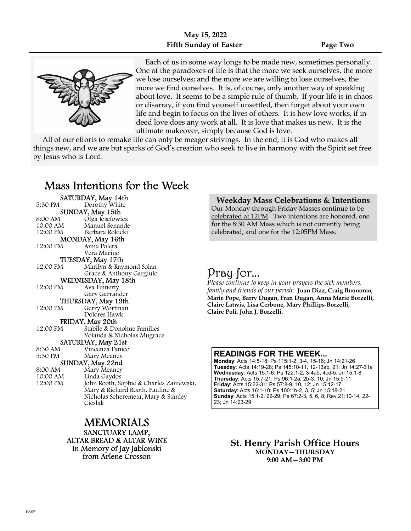

 Each of us in some way longs to be made new, sometimes personally. One of the paradoxes of life is that the more we seek ourselves, the more we lose ourselves; and the more we are willing to lose ourselves, the more we find ourselves. It is, of course, only another way of speaking about love. It seems to be a simple rule of thumb. If your life is in chaos or disarray, if you find yourself unsettled, then forget about your own life and begin to focus on the lives of others. It is how love works, if indeed love does any work at all. It is love that makes us new. It is the ultimate makeover, simply because God is love.

 All of our efforts to remake life can only be meager strivings. In the end, it is God who makes all things new, and we are but sparks of God's creation who seek to live in harmony with the Spirit set free by Jesus who is Lord.

## Mass Intentions for the Week

|                  | SATURDAY, May 14th                      |
|------------------|-----------------------------------------|
| 5:30 PM          | Dorothy White                           |
| SUNDAY, May 15th |                                         |
| 8:00 AM          | Olga Josefowicz                         |
| 10:00 AM         | Manuel Senande                          |
| 12:00 PM         | Barbara Rokicki                         |
|                  | MONDAY, May 16th                        |
| 12:00 PM         | Anna Polera                             |
|                  | Vera Marino                             |
|                  | TUESDAY, May 17th                       |
| 12:00 PM         | Marilyn & Raymond Solan                 |
|                  | Grace & Anthony Gargiulo                |
|                  | WEDNESDAY, May 18th                     |
| 12:00 PM         | Ava Finnerty                            |
|                  | Gary Garrander                          |
|                  | THURSDAY, May 19th                      |
| 12:00 PM         | Gerry Wortman                           |
|                  | Dolores Hawk                            |
|                  | FRIDAY, May 20th                        |
| 12:00 PM         | Stabile & Donohue Families              |
|                  | Yolanda & Nicholas Mugrace              |
|                  | SATURDAY, May 21st                      |
| 8:30 AM          | Vincenza Panico                         |
| 5:30 PM          | Mary Meaney                             |
|                  | SUNDAY, May 22nd                        |
| 8:00 AM          | Mary Meaney                             |
| 10:00 AM         | Linda Gaydos                            |
| 12:00 PM         | John Rooth, Sophie & Charles Zaniewski, |
|                  | Mary & Richard Rooth, Pauline &         |
|                  | Nicholas Scheremeta, Mary & Stanley     |
|                  | Cieslak                                 |

MEMORIALS SANCTUARY LAMP, ALTAR BREAD & ALTAR WINE In Memory of Jay Jablonski from Arlene Crosson

### Weekday Mass Celebrations & Intentions

Our Monday through Friday Masses continue to be celebrated at 12PM. Two intentions are honored, one for the 8:30 AM Mass which is not currently being celebrated, and one for the 12:05PM Mass.

# Pray for...

Please continue to keep in your prayers the sick members, family and friends of our parish: Juan Diaz, Craig Buonomo, Marie Pope, Barry Dugan, Fran Dugan, Anna Marie Borzelli, Claire Latwis, Lisa Cerbone, Mary Phillips-Borzelli, Claire Poli, John J. Borzelli.

### READINGS FOR THE WEEK...

Monday: Acts 14:5-18; Ps 115:1-2, 3-4, 15-16; Jn 14:21-26 Tuesday: Acts 14:19-28; Ps 145:10-11, 12-13ab, 21; Jn 14:27-31a Wednesday: Acts 15:1-6; Ps 122:1-2, 3-4ab, 4cd-5; Jn 15:1-8 Thursday: Acts 15:7-21; Ps 96:1-2a, 2b-3, 10; Jn 15:9-11 Friday: Acts 15:22-31; Ps 57:8-9, 10, 12; Jn 15:12-17 Saturday: Acts 16:1-10; Ps 100:1b-2, 3, 5; Jn 15:18-21 Sunday: Acts 15:1-2, 22-29; Ps 67:2-3, 5, 6, 8; Rev 21:10-14, 22- 23; Jn 14:23-29

> St. Henry Parish Office Hours MONDAY—THURSDAY 9:00 AM—3:00 PM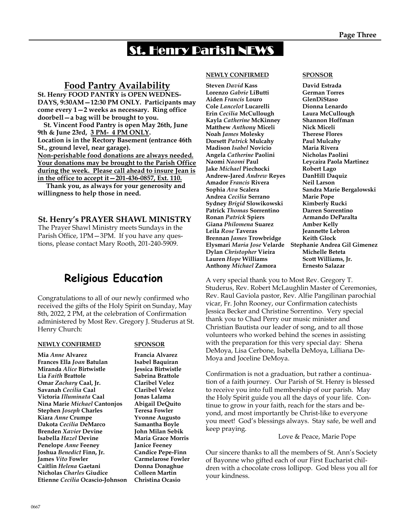# St. Henry Parish NEWS

## Food Pantry Availability

St. Henry FOOD PANTRY is OPEN WEDNES-DAYS, 9:30AM—12:30 PM ONLY. Participants may come every 1—2 weeks as necessary. Ring office doorbell—a bag will be brought to you.

 St. Vincent Food Pantry is open May 26th, June 9th & June 23rd, 3 PM- 4 PM ONLY. Location is in the Rectory Basement (entrance 46th St., ground level, near garage). Non-perishable food donations are always needed. Your donations may be brought to the Parish Office during the week. Please call ahead to insure Jean is in the office to accept it—201-436-0857, Ext. 110.

 Thank you, as always for your generosity and willingness to help those in need.

## St. Henry's PRAYER SHAWL MINISTRY

The Prayer Shawl Ministry meets Sundays in the Parish Office, 1PM—3PM. If you have any questions, please contact Mary Rooth, 201-240-5909.

# Religious Education

Congratulations to all of our newly confirmed who received the gifts of the Holy Spirit on Sunday, May 8th, 2022, 2 PM, at the celebration of Confirmation administered by Most Rev. Gregory J. Studerus at St. Henry Church:

### NEWLY CONFIRMED SPONSOR

Mia Anne Alvarez Francia Alvarez Frances Ella Joan Batulan Isabel Baquiran Miranda Alice Birtwistle Jessica Birtwistle Lia Faith Brattole Sabrina Brattole Omar Zachary Caal, Jr. Claribel Velez Savanah Cecilia Caal Claribel Velez Victoria Illuminata Caal Jonas Lalama Nina Marie Michael Cantonjos Abigail DeQuito Stephen Joseph Charles Teresa Fowler Kiara Anne Crumpe Yvonne Augusto Dakota Cecilia DeMarco Samantha Boyle Brenden Xavier Devine John Milan Sebik Isabella Hazel Devine Maria Grace Morris Penelope Anne Feeney Janice Feeney Joshua Benedict Finn, Jr. Candice Pepe-Finn James Vito Fowler Carmelarose Fowler Caitlin Helena Gaetani Donna Donaghue Nicholas Charles Giudice Colleen Martin Etienne Cecilia Ocascio-Johnson Christina Ocasio

### NEWLY CONFIRMED SPONSOR

Steven David Kass **David Estrada**<br> **Corenzo** *Gabrie* **LiButti Cerman Torres** Lorenzo Gabrie LiButti Aiden Francis Louro GlenDiStaso Cole Lancelot Lucarelli Dionna Lenardo Erin Cecilia McCullough Laura McCullough Kayla Catherine McKinney Shannon Hoffman Matthew Anthony Miceli Nick Miceli Noah James Molesky Therese Flores Dorsett Patrick Mulcahy Paul Mulcahy Madison Isabel Novicio Maria Rivera Angela Catherine Paolini Nicholas Paolini Naomi Naomi Paul Leycaira Paola Martinez Jake Michael Piechocki Robert Lago Andrew-Jared Andrew Reyes DanHill Daquiz Amador Francis Rivera Neil Larson Sophia Ava Scalera Sandra Marie Bergalowski Andrea Cecilia Serrano Marie Pope Sydney Brigid Slowikowski Kimberly Rucki Patrick Thomas Sorrentino Darren Sorrentino Ronan Patrick Spiers **Armando DeParalta** Giana Philomena Suarez Amber Kelly Leila Rose Taveras Jeannette Lebron Brennan James Trowbridge Keith Glock Elysmari Maria Jose Velarde Stephanie Andrea Gil Gimenez<br>Dylan Christopher Vieira Michelle Beteta Dylan Christopher Vieira Lauren Hope Williams Scott Williams, Jr. Anthony Michael Zamora Ernesto Salazar

A very special thank you to Most Rev. Gregory T. Studerus, Rev. Robert McLaughlin Master of Ceremonies, Rev. Raul Gaviola pastor, Rev. Alfie Pangilinan parochial vicar, Fr. John Rooney, our Confirmation catechists Jessica Becker and Christine Sorrentino. Very special thank you to Chad Perry our music minister and Christian Bautista our leader of song, and to all those volunteers who worked behind the scenes in assisting with the preparation for this very special day: Shena DeMoya, Lisa Cerbone, Isabella DeMoya, Lilliana De-Moya and Joceline DeMoya.

Confirmation is not a graduation, but rather a continuation of a faith journey. Our Parish of St. Henry is blessed to receive you into full membership of our parish. May the Holy Spirit guide you all the days of your life. Continue to grow in your faith, reach for the stars and beyond, and most importantly be Christ-like to everyone you meet! God's blessings always. Stay safe, be well and keep praying.

Love & Peace, Marie Pope

Our sincere thanks to all the members of St. Ann's Society of Bayonne who gifted each of our First Eucharist children with a chocolate cross lollipop. God bless you all for your kindness.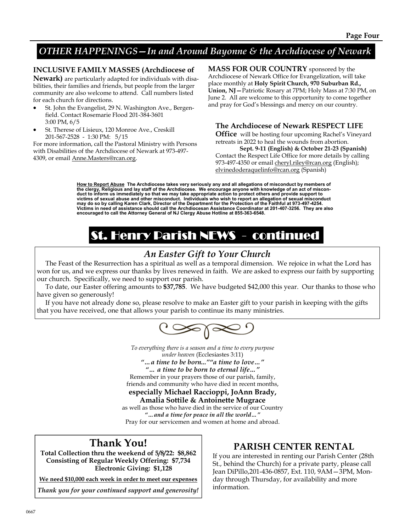## OTHER HAPPENINGS—In and Around Bayonne & the Archdiocese of Newark

## INCLUSIVE FAMILY MASSES (Archdiocese of

Newark) are particularly adapted for individuals with disabilities, their families and friends, but people from the larger community are also welcome to attend. Call numbers listed for each church for directions.

- St. John the Evangelist, 29 N. Washington Ave., Bergenfield. Contact Rosemarie Flood 201-384-3601 3:00 PM, 6/5
- St. Therese of Lisieux, 120 Monroe Ave., Creskill 201-567-2528 - 1:30 PM: 5/15

For more information, call the Pastoral Ministry with Persons with Disabilities of the Archdiocese of Newark at 973-497- 4309, or email Anne.Masters@rcan.org.

MASS FOR OUR COUNTRY sponsored by the Archdiocese of Newark Office for Evangelization, will take place monthly at Holy Spirit Church, 970 Suburban Rd., Union, NJ—Patriotic Rosary at 7PM; Holy Mass at 7:30 PM, on June 2. All are welcome to this opportunity to come together and pray for God's blessings and mercy on our country.

## The Archdiocese of Newark RESPECT LIFE

**Office** will be hosting four upcoming Rachel's Vineyard retreats in 2022 to heal the wounds from abortion.

Sept. 9-11 (English) & October 21-23 (Spanish) Contact the Respect Life Office for more details by calling 973-497-4350 or email cheryl.riley@rcan.org (English); elvinedoderaquelinfo@rcan.org (Spanish)

How to Report Abuse The Archdiocese takes very seriously any and all allegations of misconduct by members of the clergy, Religious and lay staff of the Archdiocese. We encourage anyone with knowledge of an act of misconduct to inform us immediately so that we may take appropriate action to protect others and provide support to victims of sexual abuse and other misconduct. Individuals who wish to report an allegation of sexual misconduct<br>may do so by calling Karen Clark, Director of the Department for the Protection of the Faithful at 973-497-42 Victims in need of assistance should call the Archdiocesan Assistance Coordinator at 201-407-3256. They are also encouraged to call the Attorney General of NJ Clergy Abuse Hotline at 855-363-6548.

# St. Henry Parish NEWS - continued

## An Easter Gift to Your Church

 The Feast of the Resurrection has a spiritual as well as a temporal dimension. We rejoice in what the Lord has won for us, and we express our thanks by lives renewed in faith. We are asked to express our faith by supporting our church. Specifically, we need to support our parish.

 To date, our Easter offering amounts to \$37,785. We have budgeted \$42,000 this year. Our thanks to those who have given so generously!

 If you have not already done so, please resolve to make an Easter gift to your parish in keeping with the gifts that you have received, one that allows your parish to continue its many ministries.



To everything there is a season and a time to every purpose under heaven (Ecclesiastes 3:11) "…a time to be born...""a time to love…" "… a time to be born to eternal life…" Remember in your prayers those of our parish, family,

friends and community who have died in recent months, especially Michael Raccioppi, JoAnn Brady,

## Amalia Sottile & Antoinette Mugrace

as well as those who have died in the service of our Country "…and a time for peace in all the world…" Pray for our servicemen and women at home and abroad.

## Thank You!

Total Collection thru the weekend of 5/8/22: \$8,862 Consisting of Regular Weekly Offering: \$7,734 Electronic Giving: \$1,128

We need \$10,000 each week in order to meet our expenses

Thank you for your continued support and generosity!

## PARISH CENTER RENTAL

If you are interested in renting our Parish Center (28th St., behind the Church) for a private party, please call Jean DiPillo,201-436-0857, Ext. 110, 9AM—3PM, Monday through Thursday, for availability and more information.